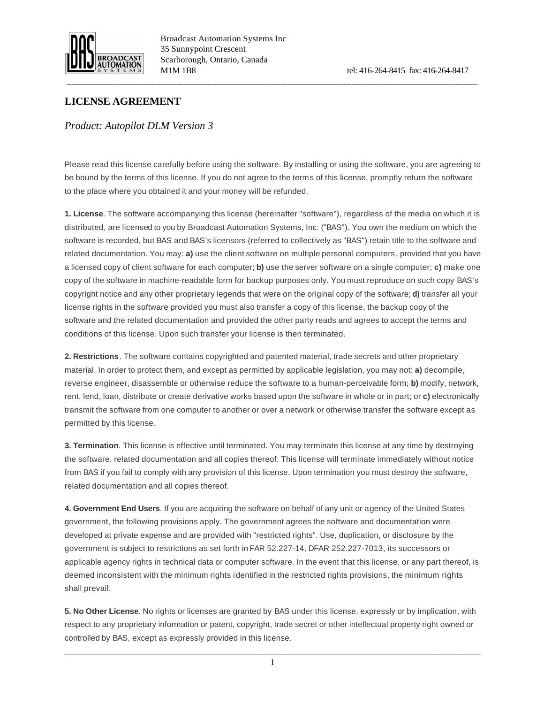

Broadcast Automation Systems Inc 35 Sunnypoint Crescent Scarborough, Ontario, Canada M1M 1B8 tel: 416-264-8415 fax: 416-264-8417

## **LICENSE AGREEMENT**

## *Product: Autopilot DLM Version 3*

Please read this license carefully before using the software. By installing or using the software, you are agreeing to be bound by the terms of this license. If you do not agree to the terms of this license, promptly return the software to the place where you obtained it and your money will be refunded.

\_\_\_\_\_\_\_\_\_\_\_\_\_\_\_\_\_\_\_\_\_\_\_\_\_\_\_\_\_\_\_\_\_\_\_\_\_\_\_\_\_\_\_\_\_\_\_\_\_\_\_\_\_\_\_\_\_\_\_\_\_\_\_\_\_\_\_\_\_\_\_\_\_\_\_\_\_\_\_\_\_\_\_\_\_\_\_\_

**1. License**. The software accompanying this license (hereinafter "software"), regardless of the media on which it is distributed, are licensed to you by Broadcast Automation Systems, Inc. ("BAS"). You own the medium on which the software is recorded, but BAS and BAS's licensors (referred to collectively as "BAS") retain title to the software and related documentation. You may: **a)** use the client software on multiple personal computers, provided that you have a licensed copy of client software for each computer; **b)** use the server software on a single computer; **c)** make one copy of the software in machine-readable form for backup purposes only. You must reproduce on such copy BAS's copyright notice and any other proprietary legends that were on the original copy of the software; **d)** transfer all your license rights in the software provided you must also transfer a copy of this license, the backup copy of the software and the related documentation and provided the other party reads and agrees to accept the terms and conditions of this license. Upon such transfer your license is then terminated.

**2. Restrictions**. The software contains copyrighted and patented material, trade secrets and other proprietary material. In order to protect them, and except as permitted by applicable legislation, you may not: **a)** decompile, reverse engineer, disassemble or otherwise reduce the software to a human-perceivable form; **b)** modify, network, rent, lend, loan, distribute or create derivative works based upon the software in whole or in part; or **c)** electronically transmit the software from one computer to another or over a network or otherwise transfer the software except as permitted by this license.

**3. Termination**. This license is effective until terminated. You may terminate this license at any time by destroying the software, related documentation and all copies thereof. This license will terminate immediately without notice from BAS if you fail to comply with any provision of this license. Upon termination you must destroy the software, related documentation and all copies thereof.

**4. Government End Users**. If you are acquiring the software on behalf of any unit or agency of the United States government, the following provisions apply. The government agrees the software and documentation were developed at private expense and are provided with "restricted rights". Use, duplication, or disclosure by the government is subject to restrictions as set forth in FAR 52.227-14, DFAR 252.227-7013, its successors or applicable agency rights in technical data or computer software. In the event that this license, or any part thereof, is deemed inconsistent with the minimum rights identified in the restricted rights provisions, the minimum rights shall prevail.

**5. No Other License**. No rights or licenses are granted by BAS under this license, expressly or by implication, with respect to any proprietary information or patent, copyright, trade secret or other intellectual property right owned or controlled by BAS, except as expressly provided in this license.